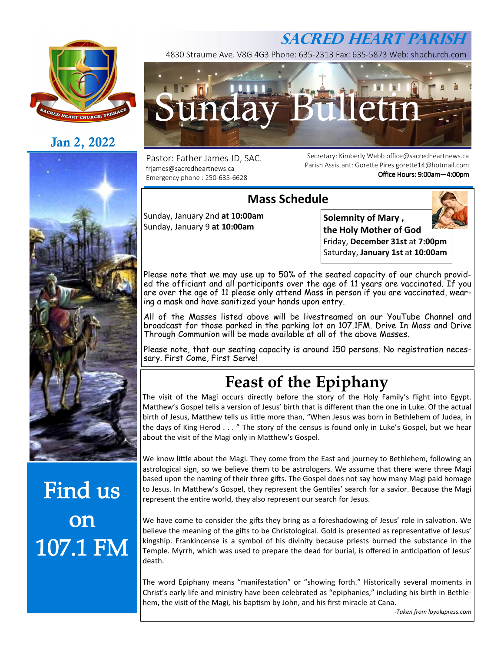## **SACRED HEART PARISH**



## **Jan 2, 2022**



# Find us **OD** 107.1 FM

4830 Straume Ave. V8G 4G3 Phone: 635-2313 Fax: 635-5873 Web: shpchurch.com



Pastor: Father James JD, SAC. frjames@sacredheartnews.ca Emergency phone : 250-635-6628

Secretary: Kimberly Webb office@sacredheartnews.ca Parish Assistant: Gorette Pires gorette14@hotmail.com Office Hours: 9:00am-4:00pm

### **Mass Schedule**

Sunday, January 2nd **at 10:00am**  Sunday, January 9 **at 10:00am** 

**Solemnity of Mary , the Holy Mother of God**  Friday, **December 31st** at **7:00pm** Saturday, **January 1st** at **10:00am**

Please note that we may use up to 50% of the seated capacity of our church provided the officiant and all participants over the age of 11 years are vaccinated. If you are over the age of 11 please only attend Mass in person if you are vaccinated, wearing a mask and have sanitized your hands upon entry.

All of the Masses listed above will be livestreamed on our YouTube Channel and broadcast for those parked in the parking lot on 107.1FM. Drive In Mass and Drive Through Communion will be made available at all of the above Masses.

Please note, that our seating capacity is around 150 persons. No registration necessary. First Come, First Serve!

# **Feast of the Epiphany**

The visit of the Magi occurs directly before the story of the Holy Family's flight into Egypt. Matthew's Gospel tells a version of Jesus' birth that is different than the one in Luke. Of the actual birth of Jesus, Matthew tells us little more than, "When Jesus was born in Bethlehem of Judea, in the days of King Herod . . . " The story of the census is found only in Luke's Gospel, but we hear about the visit of the Magi only in Matthew's Gospel.

We know little about the Magi. They come from the East and journey to Bethlehem, following an astrological sign, so we believe them to be astrologers. We assume that there were three Magi based upon the naming of their three gifts. The Gospel does not say how many Magi paid homage to Jesus. In Matthew's Gospel, they represent the Gentiles' search for a savior. Because the Magi represent the entire world, they also represent our search for Jesus.

We have come to consider the gifts they bring as a foreshadowing of Jesus' role in salvation. We believe the meaning of the gifts to be Christological. Gold is presented as representative of Jesus' kingship. Frankincense is a symbol of his divinity because priests burned the substance in the Temple. Myrrh, which was used to prepare the dead for burial, is offered in anticipation of Jesus' death.

The word Epiphany means "manifestation" or "showing forth." Historically several moments in Christ's early life and ministry have been celebrated as "epiphanies," including his birth in Bethlehem, the visit of the Magi, his baptism by John, and his first miracle at Cana.

*-Taken from loyolapress.com*